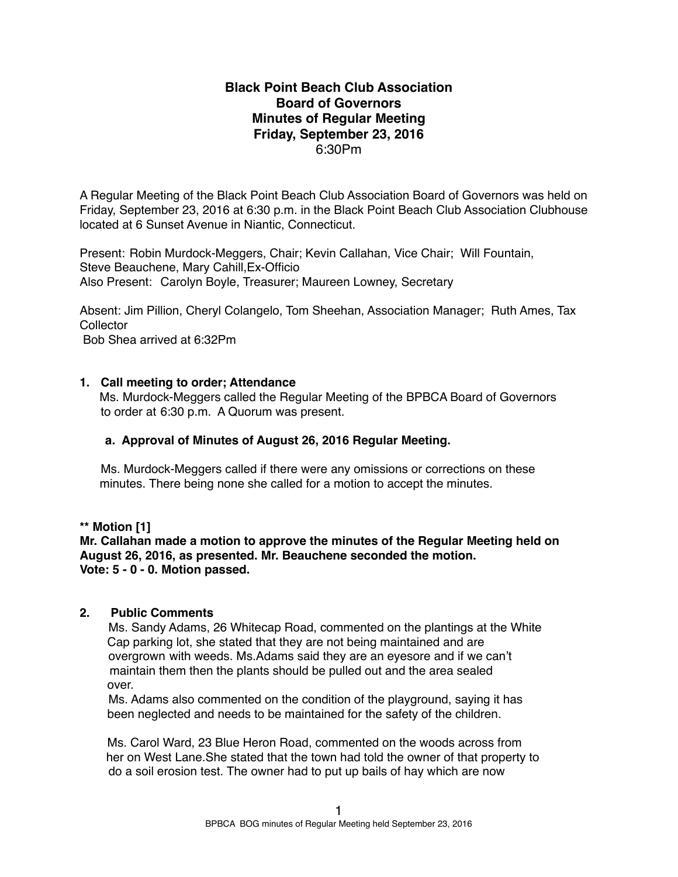### **Black Point Beach Club Association Board of Governors Minutes of Regular Meeting Friday, September 23, 2016** 6:30Pm

A Regular Meeting of the Black Point Beach Club Association Board of Governors was held on Friday, September 23, 2016 at 6:30 p.m. in the Black Point Beach Club Association Clubhouse located at 6 Sunset Avenue in Niantic, Connecticut.

Present: Robin Murdock-Meggers, Chair; Kevin Callahan, Vice Chair; Will Fountain, Steve Beauchene, Mary Cahill,Ex-Officio Also Present: Carolyn Boyle, Treasurer; Maureen Lowney, Secretary

Absent: Jim Pillion, Cheryl Colangelo, Tom Sheehan, Association Manager; Ruth Ames, Tax **Collector** Bob Shea arrived at 6:32Pm

**1. Call meeting to order; Attendance**

Ms. Murdock-Meggers called the Regular Meeting of the BPBCA Board of Governors to order at 6:30 p.m. A Quorum was present.

### **a. Approval of Minutes of August 26, 2016 Regular Meeting.**

Ms. Murdock-Meggers called if there were any omissions or corrections on these minutes. There being none she called for a motion to accept the minutes.

**\*\* Motion [1]**

**Mr. Callahan made a motion to approve the minutes of the Regular Meeting held on August 26, 2016, as presented. Mr. Beauchene seconded the motion. Vote: 5 - 0 - 0. Motion passed.**

### **2. Public Comments**

Ms. Sandy Adams, 26 Whitecap Road, commented on the plantings at the White Cap parking lot, she stated that they are not being maintained and are overgrown with weeds. Ms.Adams said they are an eyesore and if we can't maintain them then the plants should be pulled out and the area sealed over.

Ms. Adams also commented on the condition of the playground, saying it has been neglected and needs to be maintained for the safety of the children.

Ms. Carol Ward, 23 Blue Heron Road, commented on the woods across from her on West Lane.She stated that the town had told the owner of that property to do a soil erosion test. The owner had to put up bails of hay which are now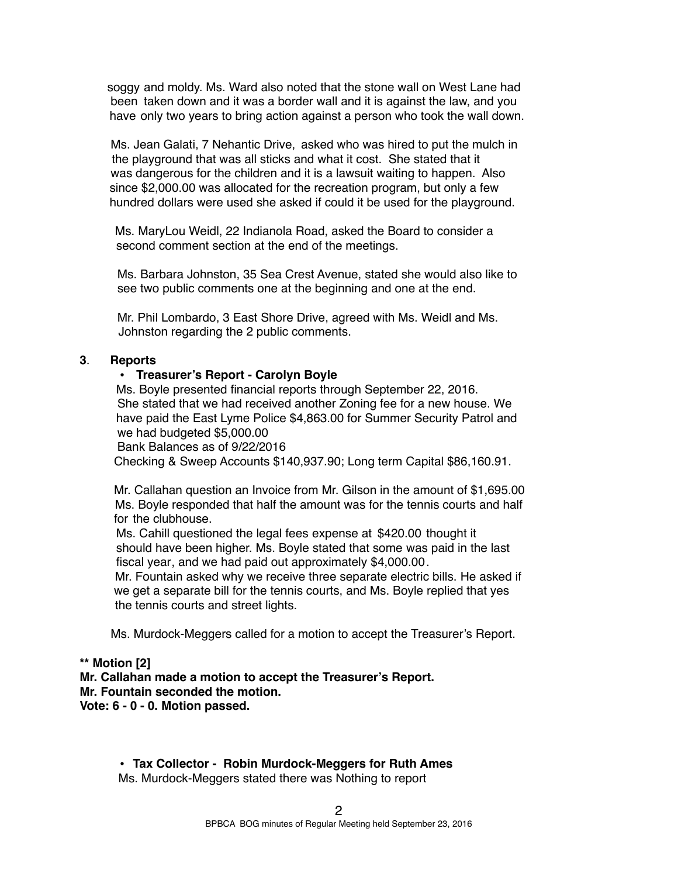soggy and moldy. Ms. Ward also noted that the stone wall on West Lane had been taken down and it was a border wall and it is against the law, and you have only two years to bring action against a person who took the wall down.

Ms. Jean Galati, 7 Nehantic Drive, asked who was hired to put the mulch in the playground that was all sticks and what it cost. She stated that it was dangerous for the children and it is a lawsuit waiting to happen. Also since \$2,000.00 was allocated for the recreation program, but only a few hundred dollars were used she asked if could it be used for the playground.

Ms. MaryLou Weidl, 22 Indianola Road, asked the Board to consider a second comment section at the end of the meetings.

Ms. Barbara Johnston, 35 Sea Crest Avenue, stated she would also like to see two public comments one at the beginning and one at the end.

Mr. Phil Lombardo, 3 East Shore Drive, agreed with Ms. Weidl and Ms. Johnston regarding the 2 public comments.

### **3**. **Reports**

#### • **Treasurer's Report - Carolyn Boyle**

Ms. Boyle presented financial reports through September 22, 2016. She stated that we had received another Zoning fee for a new house. We have paid the East Lyme Police \$4,863.00 for Summer Security Patrol and we had budgeted \$5,000.00

Bank Balances as of 9/22/2016

Checking & Sweep Accounts \$140,937.90; Long term Capital \$86,160.91.

Mr. Callahan question an Invoice from Mr. Gilson in the amount of \$1,695.00 Ms. Boyle responded that half the amount was for the tennis courts and half for the clubhouse.

Ms. Cahill questioned the legal fees expense at \$420.00 thought it should have been higher. Ms. Boyle stated that some was paid in the last fiscal year, and we had paid out approximately \$4,000.00.

Mr. Fountain asked why we receive three separate electric bills. He asked if we get a separate bill for the tennis courts, and Ms. Boyle replied that yes the tennis courts and street lights.

Ms. Murdock-Meggers called for a motion to accept the Treasurer's Report.

### **\*\* Motion [2]**

**Mr. Callahan made a motion to accept the Treasurer's Report. Mr. Fountain seconded the motion.**

**Vote: 6 - 0 - 0. Motion passed.** 

**• Tax Collector - Robin Murdock-Meggers for Ruth Ames**

Ms. Murdock-Meggers stated there was Nothing to report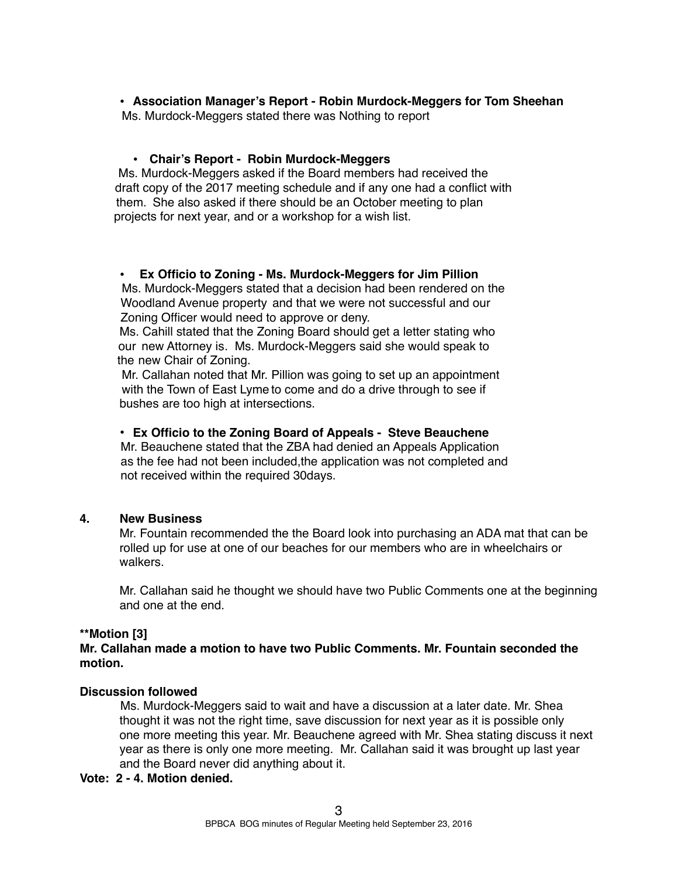**• Association Manager's Report - Robin Murdock-Meggers for Tom Sheehan**

Ms. Murdock-Meggers stated there was Nothing to report

### **• Chair's Report - Robin Murdock-Meggers**

Ms. Murdock-Meggers asked if the Board members had received the draft copy of the 2017 meeting schedule and if any one had a conflict with them. She also asked if there should be an October meeting to plan projects for next year, and or a workshop for a wish list.

### **• Ex Officio to Zoning - Ms. Murdock-Meggers for Jim Pillion**

Ms. Murdock-Meggers stated that a decision had been rendered on the Woodland Avenue property and that we were not successful and our Zoning Officer would need to approve or deny.

Ms. Cahill stated that the Zoning Board should get a letter stating who our new Attorney is. Ms. Murdock-Meggers said she would speak to the new Chair of Zoning.

Mr. Callahan noted that Mr. Pillion was going to set up an appointment with the Town of East Lyme to come and do a drive through to see if bushes are too high at intersections.

## • **Ex Officio to the Zoning Board of Appeals - Steve Beauchene**

Mr. Beauchene stated that the ZBA had denied an Appeals Application as the fee had not been included,the application was not completed and not received within the required 30days.

### **4. New Business**

Mr. Fountain recommended the the Board look into purchasing an ADA mat that can be rolled up for use at one of our beaches for our members who are in wheelchairs or walkers.

Mr. Callahan said he thought we should have two Public Comments one at the beginning and one at the end.

### **\*\*Motion [3]**

**Mr. Callahan made a motion to have two Public Comments. Mr. Fountain seconded the motion.**

# **Discussion followed**

 Ms. Murdock-Meggers said to wait and have a discussion at a later date. Mr. Shea thought it was not the right time, save discussion for next year as it is possible only one more meeting this year. Mr. Beauchene agreed with Mr. Shea stating discuss it next year as there is only one more meeting. Mr. Callahan said it was brought up last year and the Board never did anything about it.

### **Vote: 2 - 4. Motion denied.**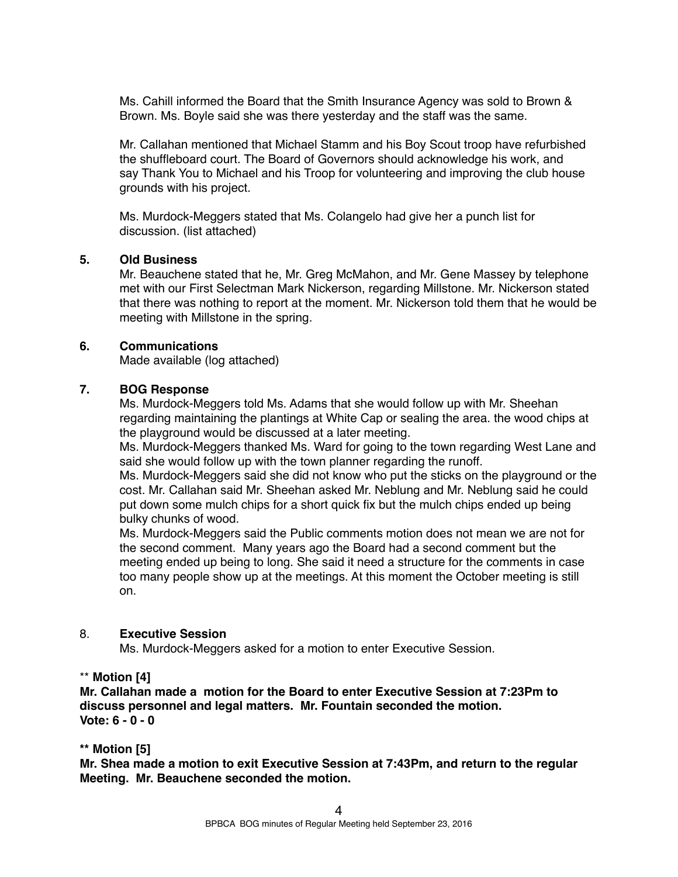Ms. Cahill informed the Board that the Smith Insurance Agency was sold to Brown & Brown. Ms. Boyle said she was there yesterday and the staff was the same.

Mr. Callahan mentioned that Michael Stamm and his Boy Scout troop have refurbished the shuffleboard court. The Board of Governors should acknowledge his work, and say Thank You to Michael and his Troop for volunteering and improving the club house grounds with his project.

Ms. Murdock-Meggers stated that Ms. Colangelo had give her a punch list for discussion. (list attached)

### **5. Old Business**

Mr. Beauchene stated that he, Mr. Greg McMahon, and Mr. Gene Massey by telephone met with our First Selectman Mark Nickerson, regarding Millstone. Mr. Nickerson stated that there was nothing to report at the moment. Mr. Nickerson told them that he would be meeting with Millstone in the spring.

#### **6. Communications**

Made available (log attached)

### **7. BOG Response**

Ms. Murdock-Meggers told Ms. Adams that she would follow up with Mr. Sheehan regarding maintaining the plantings at White Cap or sealing the area. the wood chips at the playground would be discussed at a later meeting.

Ms. Murdock-Meggers thanked Ms. Ward for going to the town regarding West Lane and said she would follow up with the town planner regarding the runoff.

Ms. Murdock-Meggers said she did not know who put the sticks on the playground or the cost. Mr. Callahan said Mr. Sheehan asked Mr. Neblung and Mr. Neblung said he could put down some mulch chips for a short quick fix but the mulch chips ended up being bulky chunks of wood.

Ms. Murdock-Meggers said the Public comments motion does not mean we are not for the second comment. Many years ago the Board had a second comment but the meeting ended up being to long. She said it need a structure for the comments in case too many people show up at the meetings. At this moment the October meeting is still on.

#### 8. **Executive Session**

Ms. Murdock-Meggers asked for a motion to enter Executive Session.

### \*\* **Motion [4]**

**Mr. Callahan made a motion for the Board to enter Executive Session at 7:23Pm to discuss personnel and legal matters. Mr. Fountain seconded the motion. Vote: 6 - 0 - 0**

### **\*\* Motion [5]**

**Mr. Shea made a motion to exit Executive Session at 7:43Pm, and return to the regular Meeting. Mr. Beauchene seconded the motion.**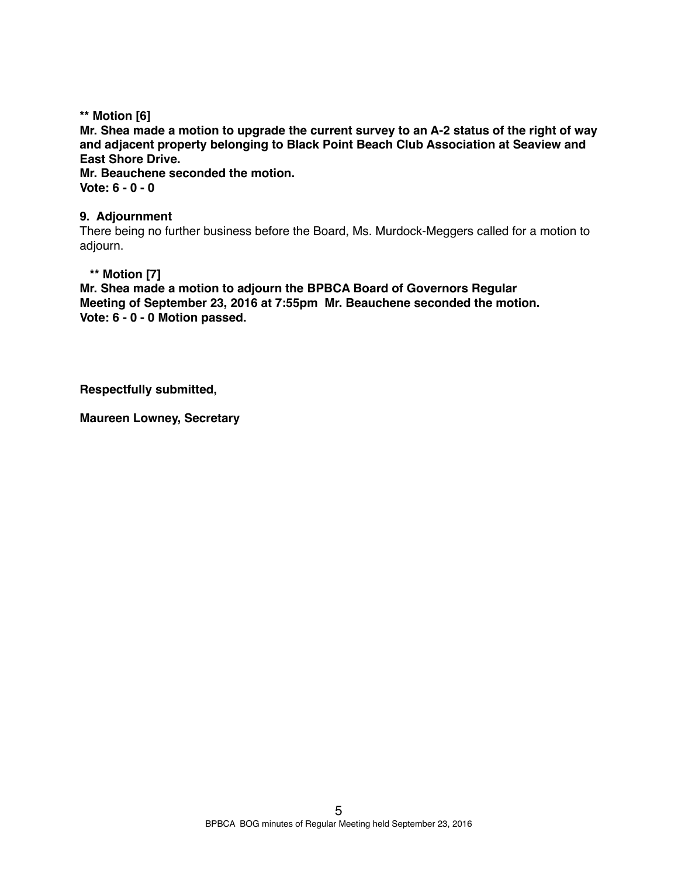**\*\* Motion [6] Mr. Shea made a motion to upgrade the current survey to an A-2 status of the right of way and adjacent property belonging to Black Point Beach Club Association at Seaview and East Shore Drive. Mr. Beauchene seconded the motion. Vote: 6 - 0 - 0** 

### **9. Adjournment**

There being no further business before the Board, Ms. Murdock-Meggers called for a motion to adjourn.

### **\*\* Motion [7]**

**Mr. Shea made a motion to adjourn the BPBCA Board of Governors Regular Meeting of September 23, 2016 at 7:55pm Mr. Beauchene seconded the motion. Vote: 6 - 0 - 0 Motion passed.**

**Respectfully submitted,**

**Maureen Lowney, Secretary**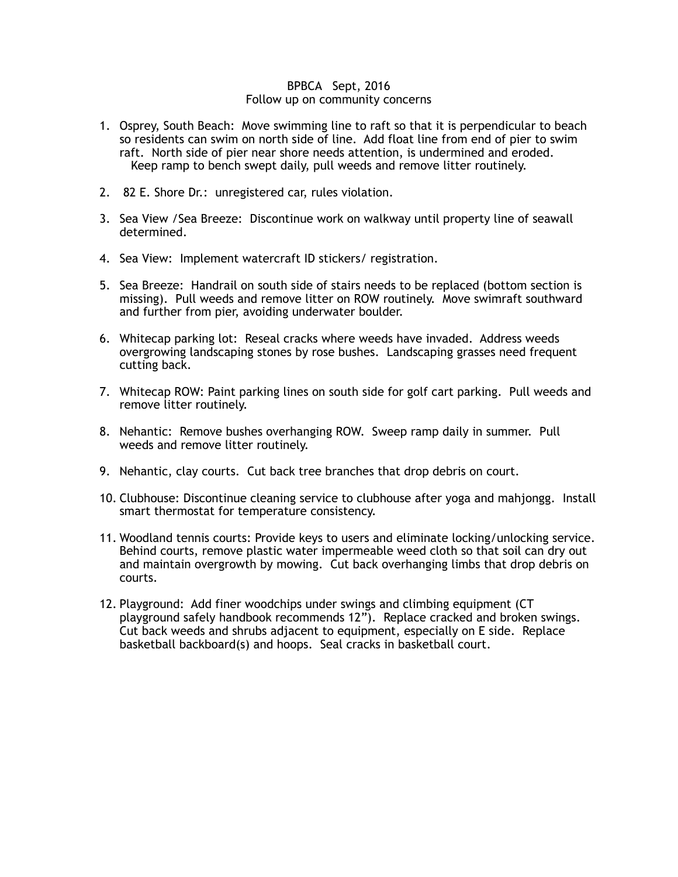#### BPBCA Sept, 2016 Follow up on community concerns

- 1. Osprey, South Beach: Move swimming line to raft so that it is perpendicular to beach so residents can swim on north side of line. Add float line from end of pier to swim raft. North side of pier near shore needs attention, is undermined and eroded. Keep ramp to bench swept daily, pull weeds and remove litter routinely.
- 2. 82 E. Shore Dr.: unregistered car, rules violation.
- 3. Sea View /Sea Breeze: Discontinue work on walkway until property line of seawall determined.
- 4. Sea View: Implement watercraft ID stickers/ registration.
- 5. Sea Breeze: Handrail on south side of stairs needs to be replaced (bottom section is missing). Pull weeds and remove litter on ROW routinely. Move swimraft southward and further from pier, avoiding underwater boulder.
- 6. Whitecap parking lot: Reseal cracks where weeds have invaded. Address weeds overgrowing landscaping stones by rose bushes. Landscaping grasses need frequent cutting back.
- 7. Whitecap ROW: Paint parking lines on south side for golf cart parking. Pull weeds and remove litter routinely.
- 8. Nehantic: Remove bushes overhanging ROW. Sweep ramp daily in summer. Pull weeds and remove litter routinely.
- 9. Nehantic, clay courts. Cut back tree branches that drop debris on court.
- 10. Clubhouse: Discontinue cleaning service to clubhouse after yoga and mahjongg. Install smart thermostat for temperature consistency.
- 11. Woodland tennis courts: Provide keys to users and eliminate locking/unlocking service. Behind courts, remove plastic water impermeable weed cloth so that soil can dry out and maintain overgrowth by mowing. Cut back overhanging limbs that drop debris on courts.
- 12. Playground: Add finer woodchips under swings and climbing equipment (CT playground safely handbook recommends 12"). Replace cracked and broken swings. Cut back weeds and shrubs adjacent to equipment, especially on E side. Replace basketball backboard(s) and hoops. Seal cracks in basketball court.